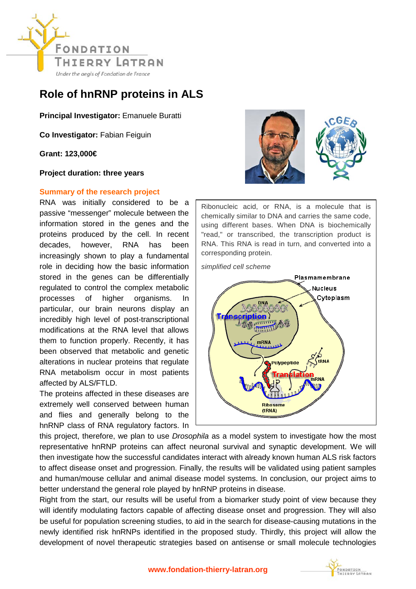

## **Role of hnRNP proteins in ALS**

**Principal Investigator:** Emanuele Buratti

**Co Investigator:** Fabian Feiguin

**Grant: 123,000€** 

**Project duration: three years**

## **Summary of the research project**

RNA was initially considered to be a passive "messenger" molecule between the information stored in the genes and the proteins produced by the cell. In recent decades, however, RNA has been increasingly shown to play a fundamental role in deciding how the basic information stored in the genes can be differentially regulated to control the complex metabolic processes of higher organisms. In particular, our brain neurons display an incredibly high level of post-transcriptional modifications at the RNA level that allows them to function properly. Recently, it has been observed that metabolic and genetic alterations in nuclear proteins that regulate RNA metabolism occur in most patients affected by ALS/FTLD.

The proteins affected in these diseases are extremely well conserved between human and flies and generally belong to the hnRNP class of RNA regulatory factors. In



Ribonucleic acid, or RNA, is a molecule that is chemically similar to DNA and carries the same code, using different bases. When DNA is biochemically "read," or transcribed, the transcription product is RNA. This RNA is read in turn, and converted into a corresponding protein.

*simplified cell scheme*



this project, therefore, we plan to use *Drosophila* as a model system to investigate how the most representative hnRNP proteins can affect neuronal survival and synaptic development. We will then investigate how the successful candidates interact with already known human ALS risk factors to affect disease onset and progression. Finally, the results will be validated using patient samples and human/mouse cellular and animal disease model systems. In conclusion, our project aims to better understand the general role played by hnRNP proteins in disease.

Right from the start, our results will be useful from a biomarker study point of view because they will identify modulating factors capable of affecting disease onset and progression. They will also be useful for population screening studies, to aid in the search for disease-causing mutations in the newly identified risk hnRNPs identified in the proposed study. Thirdly, this project will allow the development of novel therapeutic strategies based on antisense or small molecule technologies